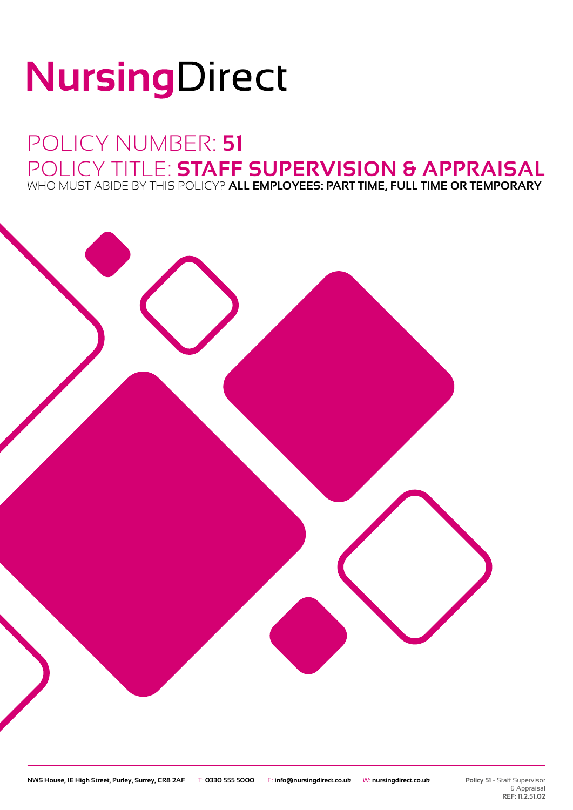# NursingDirect

## POLICY NUMBER: **51** POLICY TITLE: **STAFF SUPERVISION & APPRAISAL** WHO MUST ABIDE BY THIS POLICY? **ALL EMPLOYEES: PART TIME, FULL TIME OR TEMPORARY**